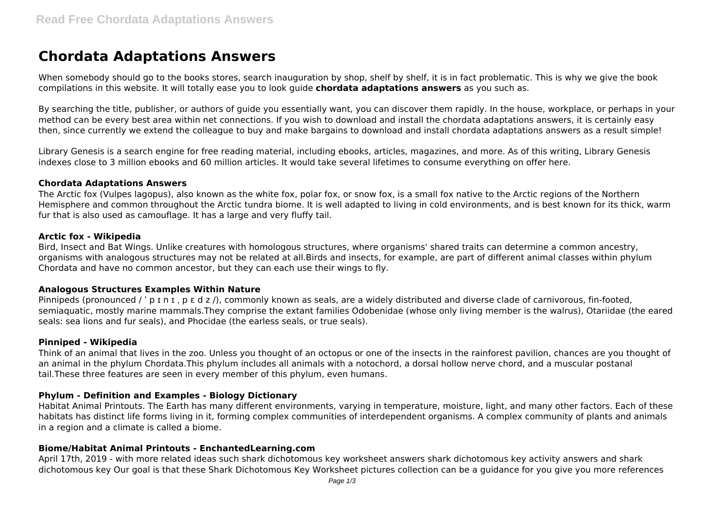# **Chordata Adaptations Answers**

When somebody should go to the books stores, search inauguration by shop, shelf by shelf, it is in fact problematic. This is why we give the book compilations in this website. It will totally ease you to look guide **chordata adaptations answers** as you such as.

By searching the title, publisher, or authors of guide you essentially want, you can discover them rapidly. In the house, workplace, or perhaps in your method can be every best area within net connections. If you wish to download and install the chordata adaptations answers, it is certainly easy then, since currently we extend the colleague to buy and make bargains to download and install chordata adaptations answers as a result simple!

Library Genesis is a search engine for free reading material, including ebooks, articles, magazines, and more. As of this writing, Library Genesis indexes close to 3 million ebooks and 60 million articles. It would take several lifetimes to consume everything on offer here.

#### **Chordata Adaptations Answers**

The Arctic fox (Vulpes lagopus), also known as the white fox, polar fox, or snow fox, is a small fox native to the Arctic regions of the Northern Hemisphere and common throughout the Arctic tundra biome. It is well adapted to living in cold environments, and is best known for its thick, warm fur that is also used as camouflage. It has a large and very fluffy tail.

#### **Arctic fox - Wikipedia**

Bird, Insect and Bat Wings. Unlike creatures with homologous structures, where organisms' shared traits can determine a common ancestry, organisms with analogous structures may not be related at all.Birds and insects, for example, are part of different animal classes within phylum Chordata and have no common ancestor, but they can each use their wings to fly.

## **Analogous Structures Examples Within Nature**

Pinnipeds (pronounced / 'p I n I, p  $\varepsilon$  d z /), commonly known as seals, are a widely distributed and diverse clade of carnivorous, fin-footed, semiaquatic, mostly marine mammals.They comprise the extant families Odobenidae (whose only living member is the walrus), Otariidae (the eared seals: sea lions and fur seals), and Phocidae (the earless seals, or true seals).

## **Pinniped - Wikipedia**

Think of an animal that lives in the zoo. Unless you thought of an octopus or one of the insects in the rainforest pavilion, chances are you thought of an animal in the phylum Chordata.This phylum includes all animals with a notochord, a dorsal hollow nerve chord, and a muscular postanal tail.These three features are seen in every member of this phylum, even humans.

## **Phylum - Definition and Examples - Biology Dictionary**

Habitat Animal Printouts. The Earth has many different environments, varying in temperature, moisture, light, and many other factors. Each of these habitats has distinct life forms living in it, forming complex communities of interdependent organisms. A complex community of plants and animals in a region and a climate is called a biome.

## **Biome/Habitat Animal Printouts - EnchantedLearning.com**

April 17th, 2019 - with more related ideas such shark dichotomous key worksheet answers shark dichotomous key activity answers and shark dichotomous key Our goal is that these Shark Dichotomous Key Worksheet pictures collection can be a guidance for you give you more references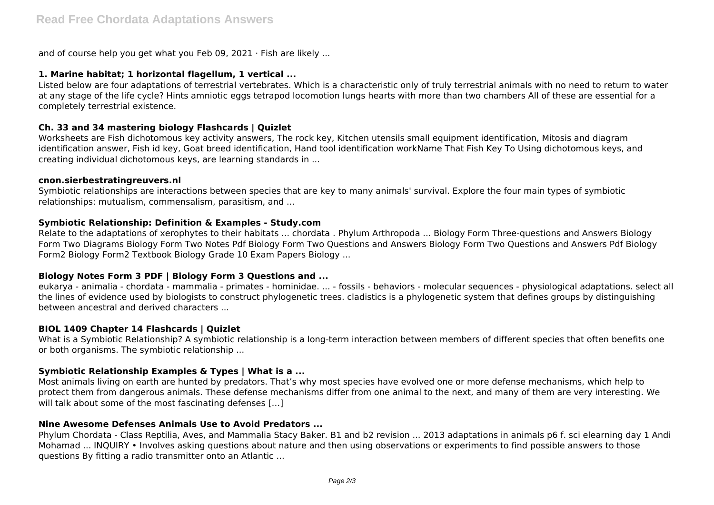and of course help you get what you Feb 09, 2021 · Fish are likely ...

# **1. Marine habitat; 1 horizontal flagellum, 1 vertical ...**

Listed below are four adaptations of terrestrial vertebrates. Which is a characteristic only of truly terrestrial animals with no need to return to water at any stage of the life cycle? Hints amniotic eggs tetrapod locomotion lungs hearts with more than two chambers All of these are essential for a completely terrestrial existence.

# **Ch. 33 and 34 mastering biology Flashcards | Quizlet**

Worksheets are Fish dichotomous key activity answers, The rock key, Kitchen utensils small equipment identification, Mitosis and diagram identification answer, Fish id key, Goat breed identification, Hand tool identification workName That Fish Key To Using dichotomous keys, and creating individual dichotomous keys, are learning standards in ...

## **cnon.sierbestratingreuvers.nl**

Symbiotic relationships are interactions between species that are key to many animals' survival. Explore the four main types of symbiotic relationships: mutualism, commensalism, parasitism, and ...

## **Symbiotic Relationship: Definition & Examples - Study.com**

Relate to the adaptations of xerophytes to their habitats ... chordata . Phylum Arthropoda ... Biology Form Three-questions and Answers Biology Form Two Diagrams Biology Form Two Notes Pdf Biology Form Two Questions and Answers Biology Form Two Questions and Answers Pdf Biology Form2 Biology Form2 Textbook Biology Grade 10 Exam Papers Biology ...

# **Biology Notes Form 3 PDF | Biology Form 3 Questions and ...**

eukarya - animalia - chordata - mammalia - primates - hominidae. ... - fossils - behaviors - molecular sequences - physiological adaptations. select all the lines of evidence used by biologists to construct phylogenetic trees. cladistics is a phylogenetic system that defines groups by distinguishing between ancestral and derived characters ...

## **BIOL 1409 Chapter 14 Flashcards | Quizlet**

What is a Symbiotic Relationship? A symbiotic relationship is a long-term interaction between members of different species that often benefits one or both organisms. The symbiotic relationship ...

# **Symbiotic Relationship Examples & Types | What is a ...**

Most animals living on earth are hunted by predators. That's why most species have evolved one or more defense mechanisms, which help to protect them from dangerous animals. These defense mechanisms differ from one animal to the next, and many of them are very interesting. We will talk about some of the most fascinating defenses [...]

## **Nine Awesome Defenses Animals Use to Avoid Predators ...**

Phylum Chordata - Class Reptilia, Aves, and Mammalia Stacy Baker. B1 and b2 revision ... 2013 adaptations in animals p6 f. sci elearning day 1 Andi Mohamad ... INQUIRY • Involves asking questions about nature and then using observations or experiments to find possible answers to those questions By fitting a radio transmitter onto an Atlantic ...